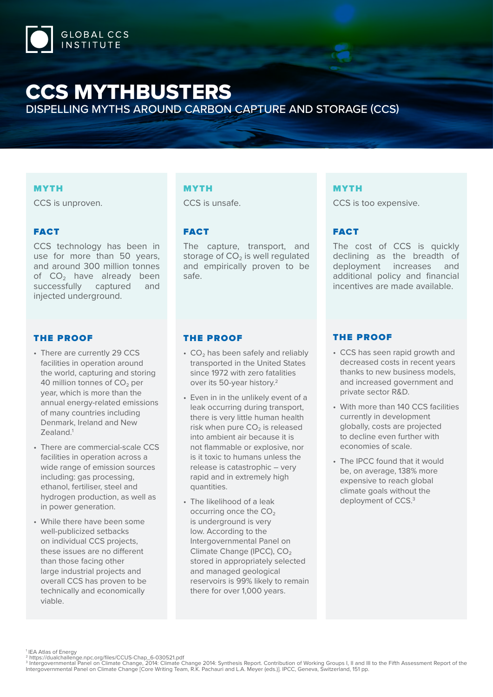

# CCS MYTHBUSTERS

DISPELLING MYTHS AROUND CARBON CAPTURE AND STORAGE (CCS)

## MYTH

CCS is unproven.

## FACT

CCS technology has been in use for more than 50 years, and around 300 million tonnes of  $CO<sub>2</sub>$  have already been successfully captured and injected underground.

#### THE PROOF

- There are currently 29 CCS facilities in operation around the world, capturing and storing 40 million tonnes of  $CO<sub>2</sub>$  per year, which is more than the annual energy-related emissions of many countries including Denmark, Ireland and New Zealand.1
- There are commercial-scale CCS facilities in operation across a wide range of emission sources including: gas processing, ethanol, fertiliser, steel and hydrogen production, as well as in power generation.
- While there have been some well-publicized setbacks on individual CCS projects, these issues are no different than those facing other large industrial projects and overall CCS has proven to be technically and economically viable.

#### MYTH

CCS is unsafe.

# FACT

The capture, transport, and storage of  $CO<sub>2</sub>$  is well regulated and empirically proven to be safe.

## MYTH

CCS is too expensive.

# FACT

The cost of CCS is quickly declining as the breadth of deployment increases and additional policy and financial incentives are made available.

## THE PROOF

- $\cdot$  CO<sub>2</sub> has been safely and reliably transported in the United States since 1972 with zero fatalities over its 50-year history.2
- Even in in the unlikely event of a leak occurring during transport, there is very little human health risk when pure  $CO<sub>2</sub>$  is released into ambient air because it is not flammable or explosive, nor is it toxic to humans unless the release is catastrophic – very rapid and in extremely high quantities.
- The likelihood of a leak occurring once the  $CO<sub>2</sub>$ is underground is very low. According to the Intergovernmental Panel on Climate Change (IPCC), CO<sub>2</sub> stored in appropriately selected and managed geological reservoirs is 99% likely to remain there for over 1,000 years.

#### THE PROOF

- CCS has seen rapid growth and decreased costs in recent years thanks to new business models, and increased government and private sector R&D.
- With more than 140 CCS facilities currently in development globally, costs are projected to decline even further with economies of scale.
- The IPCC found that it would be, on average, 138% more expensive to reach global climate goals without the deployment of CCS.<sup>3</sup>

1 IEA Atlas of Energy

<sup>&</sup>lt;sup>2</sup> https://dualchallenge.npc.org/files/CCUS-Chap\_6-030521.pdf<br><sup>3</sup> Intergovernmental Panel on Climate Change, 2014: Climate Change 2014: Synthesis Report. Contribution of Working Groups I, II and III to the Fifth Assessmen